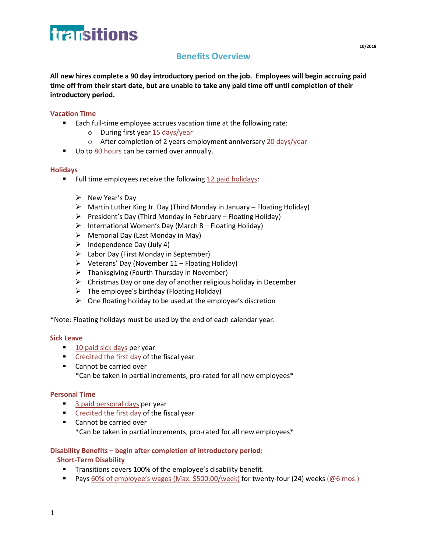

# **Benefits Overview**

**All new hires complete a 90 day introductory period on the job. Employees will begin accruing paid time off from their start date, but are unable to take any paid time off until completion of their introductory period.** 

# **Vacation Time**

- **Each full-time employee accrues vacation time at the following rate:** 
	- o During first year 15 days/year
	- o After completion of 2 years employment anniversary 20 days/year
- Up to 80 hours can be carried over annually.

### **Holidays**

- Full time employees receive the following 12 paid holidays:
	- $\triangleright$  New Year's Day
	- $\triangleright$  Martin Luther King Jr. Day (Third Monday in January Floating Holiday)
	- $\triangleright$  President's Day (Third Monday in February Floating Holiday)
	- $\triangleright$  International Women's Day (March 8 Floating Holiday)
	- $\triangleright$  Memorial Day (Last Monday in May)
	- $\triangleright$  Independence Day (July 4)
	- $\triangleright$  Labor Day (First Monday in September)
	- $\triangleright$  Veterans' Day (November 11 Floating Holiday)
	- $\triangleright$  Thanksgiving (Fourth Thursday in November)
	- $\triangleright$  Christmas Day or one day of another religious holiday in December
	- $\triangleright$  The employee's birthday (Floating Holiday)
	- $\triangleright$  One floating holiday to be used at the employee's discretion

\*Note: Floating holidays must be used by the end of each calendar year.

#### **Sick Leave**

- 10 paid sick days per year
- **Credited the first day of the fiscal year**
- Cannot be carried over \*Can be taken in partial increments, pro-rated for all new employees\*

### **Personal Time**

- 3 paid personal days per year
- **Credited the first day of the fiscal year**
- Cannot be carried over \*Can be taken in partial increments, pro-rated for all new employees\*

### **Disability Benefits – begin after completion of introductory period:**

### **Short-Term Disability**

- **Transitions covers 100% of the employee's disability benefit.**
- Pays 60% of employee's wages (Max. \$500.00/week) for twenty-four (24) weeks (@6 mos.)